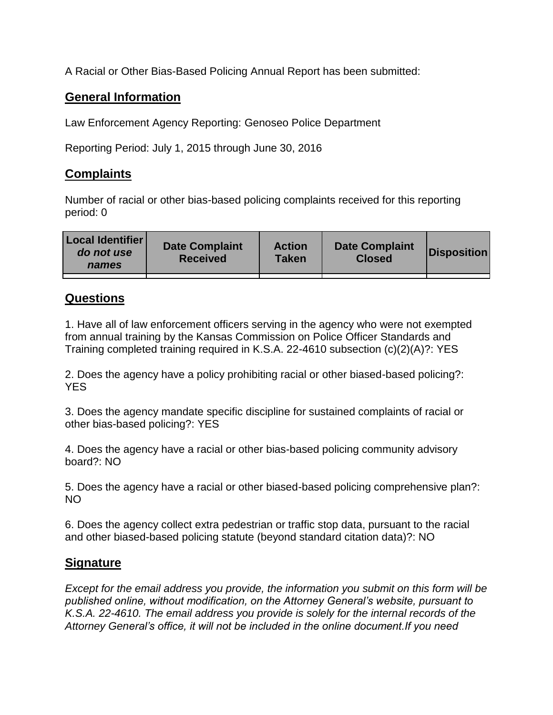A Racial or Other Bias-Based Policing Annual Report has been submitted:

## **General Information**

Law Enforcement Agency Reporting: Genoseo Police Department

Reporting Period: July 1, 2015 through June 30, 2016

## **Complaints**

Number of racial or other bias-based policing complaints received for this reporting period: 0

| <b>Local Identifier</b><br>do not use<br>names | <b>Date Complaint</b><br><b>Received</b> | <b>Action</b><br><b>Taken</b> | <b>Date Complaint</b><br><b>Closed</b> | Disposition |
|------------------------------------------------|------------------------------------------|-------------------------------|----------------------------------------|-------------|
|                                                |                                          |                               |                                        |             |

## **Questions**

1. Have all of law enforcement officers serving in the agency who were not exempted from annual training by the Kansas Commission on Police Officer Standards and Training completed training required in K.S.A. 22-4610 subsection (c)(2)(A)?: YES

2. Does the agency have a policy prohibiting racial or other biased-based policing?: YES

3. Does the agency mandate specific discipline for sustained complaints of racial or other bias-based policing?: YES

4. Does the agency have a racial or other bias-based policing community advisory board?: NO

5. Does the agency have a racial or other biased-based policing comprehensive plan?: NO

6. Does the agency collect extra pedestrian or traffic stop data, pursuant to the racial and other biased-based policing statute (beyond standard citation data)?: NO

## **Signature**

*Except for the email address you provide, the information you submit on this form will be published online, without modification, on the Attorney General's website, pursuant to K.S.A. 22-4610. The email address you provide is solely for the internal records of the Attorney General's office, it will not be included in the online document.If you need*